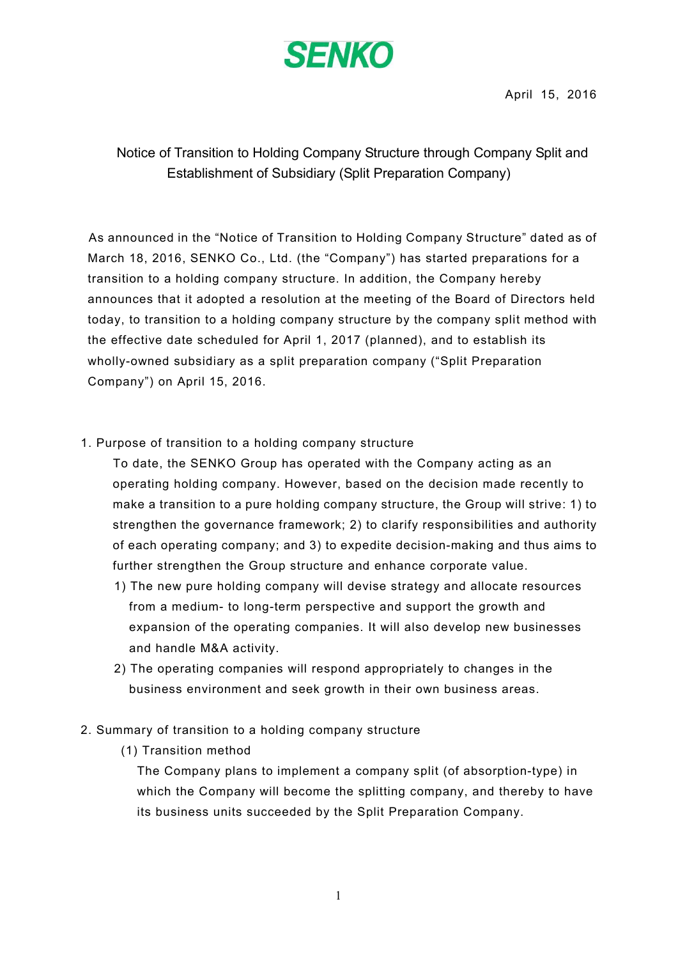

April 15, 2016

## Notice of Transition to Holding Company Structure through Company Split and Establishment of Subsidiary (Split Preparation Company)

As announced in the "Notice of Transition to Holding Company Structure" dated as of March 18, 2016, SENKO Co., Ltd. (the "Company") has started preparations for a transition to a holding company structure. In addition, the Company hereby announces that it adopted a resolution at the meeting of the Board of Directors held today, to transition to a holding company structure by the company split method with the effective date scheduled for April 1, 2017 (planned), and to establish its wholly-owned subsidiary as a split preparation company ("Split Preparation Company") on April 15, 2016.

1. Purpose of transition to a holding company structure

To date, the SENKO Group has operated with the Company acting as an operating holding company. However, based on the decision made recently to make a transition to a pure holding company structure, the Group will strive: 1) to strengthen the governance framework; 2) to clarify responsibilities and authority of each operating company; and 3) to expedite decision-making and thus aims to further strengthen the Group structure and enhance corporate value.

- 1) The new pure holding company will devise strategy and allocate resources from a medium- to long-term perspective and support the growth and expansion of the operating companies. It will also develop new businesses and handle M&A activity.
- 2) The operating companies will respond appropriately to changes in the business environment and seek growth in their own business areas.
- 2. Summary of transition to a holding company structure
	- (1) Transition method

The Company plans to implement a company split (of absorption-type) in which the Company will become the splitting company, and thereby to have its business units succeeded by the Split Preparation Company.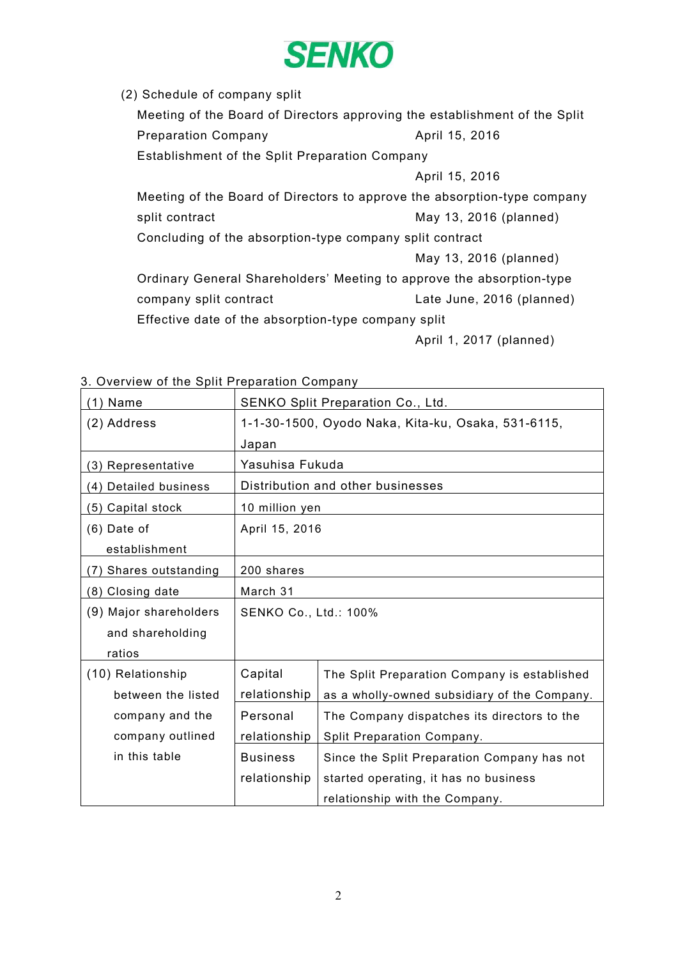

(2) Schedule of company split

Meeting of the Board of Directors approving the establishment of the Split Preparation Company **April 15, 2016** Establishment of the Split Preparation Company April 15, 2016 Meeting of the Board of Directors to approve the absorption-type company split contract and a split contract and a split contract and a split contract a split contract a split  $\mathsf{M}$ ay 13, 2016 (planned) Concluding of the absorption-type company split contract May 13, 2016 (planned) Ordinary General Shareholders' Meeting to approve the absorption-type company split contract Company split contract Late June, 2016 (planned) Effective date of the absorption-type company split

April 1, 2017 (planned)

| (1) Name               | SENKO Split Preparation Co., Ltd.                  |                                              |
|------------------------|----------------------------------------------------|----------------------------------------------|
| (2) Address            | 1-1-30-1500, Oyodo Naka, Kita-ku, Osaka, 531-6115, |                                              |
|                        | Japan                                              |                                              |
| (3) Representative     | Yasuhisa Fukuda                                    |                                              |
| (4) Detailed business  | Distribution and other businesses                  |                                              |
| (5) Capital stock      | 10 million yen                                     |                                              |
| $(6)$ Date of          | April 15, 2016                                     |                                              |
| establishment          |                                                    |                                              |
| (7) Shares outstanding | 200 shares                                         |                                              |
| (8) Closing date       | March 31                                           |                                              |
| (9) Major shareholders | <b>SENKO Co., Ltd.: 100%</b>                       |                                              |
| and shareholding       |                                                    |                                              |
| ratios                 |                                                    |                                              |
| (10) Relationship      | Capital                                            | The Split Preparation Company is established |
| between the listed     | relationship                                       | as a wholly-owned subsidiary of the Company. |
| company and the        | Personal                                           | The Company dispatches its directors to the  |
| company outlined       | relationship                                       | Split Preparation Company.                   |
| in this table          | <b>Business</b>                                    | Since the Split Preparation Company has not  |
|                        | relationship                                       | started operating, it has no business        |
|                        |                                                    | relationship with the Company.               |

3. Overview of the Split Preparation Company